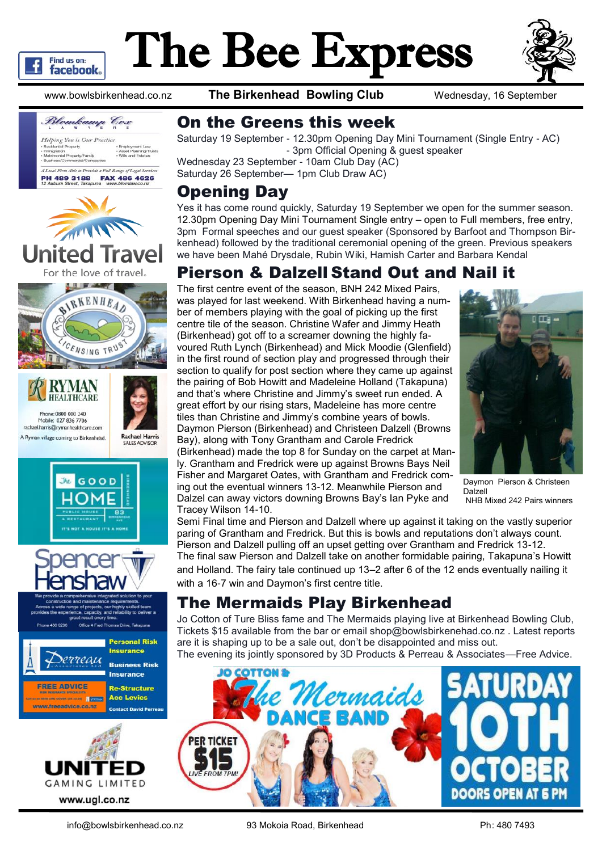

# The Bee Express



www.bowlsbirkenhead.co.nz **The Birkenhead Bowling Club** Wednesday, 16 September







#### On the Greens this week

Saturday 19 September - 12.30pm Opening Day Mini Tournament (Single Entry - AC) - 3pm Official Opening & guest speaker

Wednesday 23 September - 10am Club Day (AC) Saturday 26 September— 1pm Club Draw AC)

#### Opening Day

Yes it has come round quickly, Saturday 19 September we open for the summer season. 12.30pm Opening Day Mini Tournament Single entry – open to Full members, free entry, 3pm Formal speeches and our guest speaker (Sponsored by Barfoot and Thompson Birkenhead) followed by the traditional ceremonial opening of the green. Previous speakers we have been Mahé Drysdale, Rubin Wiki, Hamish Carter and Barbara Kendal

#### Pierson & Dalzell Stand Out and Nail it

The first centre event of the season, BNH 242 Mixed Pairs, was played for last weekend. With Birkenhead having a number of members playing with the goal of picking up the first centre tile of the season. Christine Wafer and Jimmy Heath (Birkenhead) got off to a screamer downing the highly favoured Ruth Lynch (Birkenhead) and Mick Moodie (Glenfield) in the first round of section play and progressed through their section to qualify for post section where they came up against the pairing of Bob Howitt and Madeleine Holland (Takapuna) and that's where Christine and Jimmy's sweet run ended. A great effort by our rising stars, Madeleine has more centre tiles than Christine and Jimmy's combine years of bowls. Daymon Pierson (Birkenhead) and Christeen Dalzell (Browns Bay), along with Tony Grantham and Carole Fredrick (Birkenhead) made the top 8 for Sunday on the carpet at Manly. Grantham and Fredrick were up against Browns Bays Neil Fisher and Margaret Oates, with Grantham and Fredrick coming out the eventual winners 13-12. Meanwhile Pierson and Dalzel can away victors downing Browns Bay's Ian Pyke and



Daymon Pierson & Christeen Dalzell NHB Mixed 242 Pairs winners

Tracey Wilson 14-10. Semi Final time and Pierson and Dalzell where up against it taking on the vastly superior paring of Grantham and Fredrick. But this is bowls and reputations don't always count. Pierson and Dalzell pulling off an upset getting over Grantham and Fredrick 13-12.

The final saw Pierson and Dalzell take on another formidable pairing, Takapuna's Howitt and Holland. The fairy tale continued up 13–2 after 6 of the 12 ends eventually nailing it with a 16-7 win and Daymon's first centre title.

### The Mermaids Play Birkenhead

Jo Cotton of Ture Bliss fame and The Mermaids playing live at Birkenhead Bowling Club, Tickets \$15 available from the bar or email shop@bowlsbirkenehad.co.nz . Latest reports are it is shaping up to be a sale out, don't be disappointed and miss out.